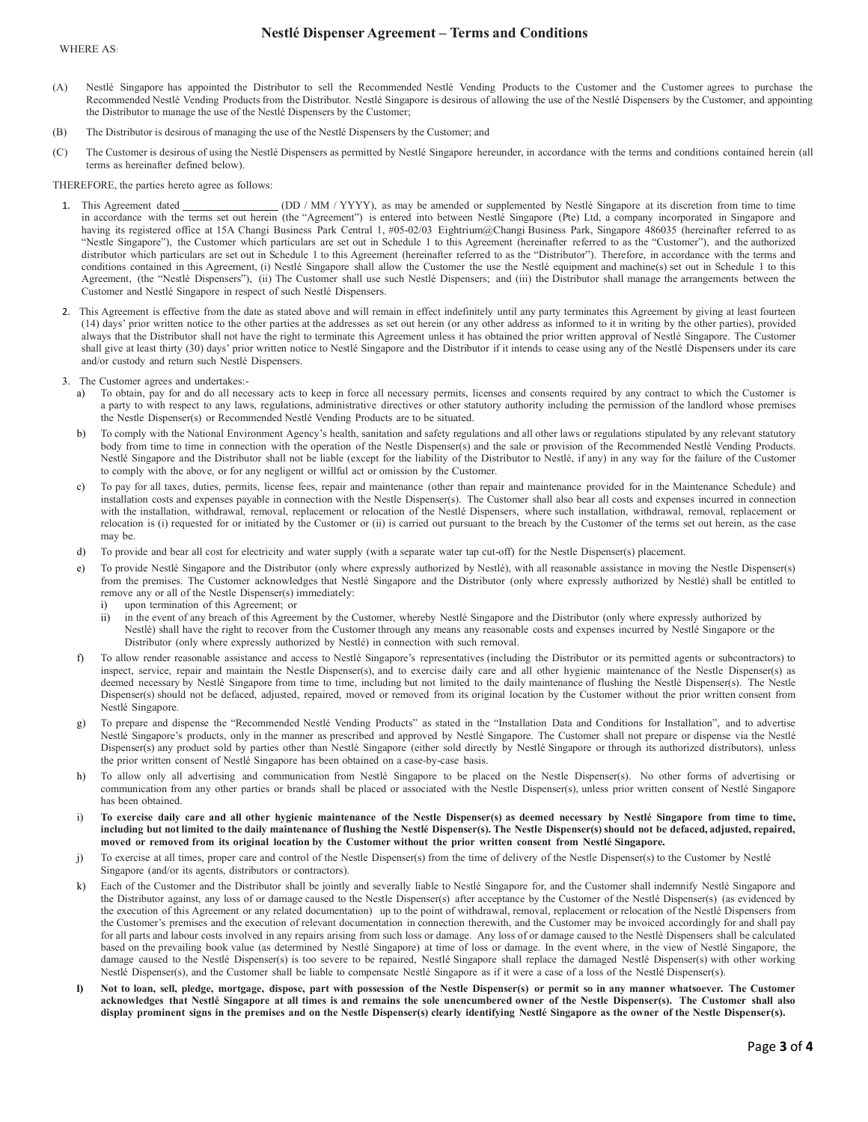## Nestlé Dispenser Agreement – Terms and Conditions

- (A) Nestlé Singapore has appointed the Distributor to sell the Recommended Nestlé Vending Products to the Customer and the Customer agrees to purchase the Recommended Nestlé Vending Products from the Distributor. Nestlé Singapore is desirous of allowing the use of the Nestlé Dispensers by the Customer, and appointing the Distributor to manage the use of the Nestlé Dispensers by the Customer;
- (B) The Distributor is desirous of managing the use of the Nestlé Dispensers by the Customer; and
- (C) The Customer is desirous of using the Nestlé Dispensers as permitted by Nestlé Singapore hereunder, in accordance with the terms and conditions contained herein (all terms as hereinafter defined below).

THEREFORE, the parties hereto agree as follows:

- 1. This Agreement dated (DD / MM / YYYY), as may be amended or supplemented by Nestlé Singapore at its discretion from time to time in accordance with the terms set out herein (the "Agreement") is entered into between Nestlé Singapore (Pte) Ltd, a company incorporated in Singapore and having its registered office at 15A Changi Business Park Central 1, #05-02/03 Eightrium@Changi Business Park, Singapore 486035 (hereinafter referred to as "Nestle Singapore"), the Customer which particulars are set out in Schedule 1 to this Agreement (hereinafter referred to as the "Customer"), and the authorized distributor which particulars are set out in Schedule 1 to this Agreement (hereinafter referred to as the "Distributor"). Therefore, in accordance with the terms and conditions contained in this Agreement, (i) Nestlé Singapore shall allow the Customer the use the Nestlé equipment and machine(s) set out in Schedule 1 to this Agreement, (the "Nestlé Dispensers"), (ii) The Customer shall use such Nestlé Dispensers; and (iii) the Distributor shall manage the arrangements between the Customer and Nestlé Singapore in respect of such Nestlé Dispensers.
- 2. This Agreement is effective from the date as stated above and will remain in effect indefinitely until any party terminates this Agreement by giving at least fourteen (14) days' prior written notice to the other parties at the addresses as set out herein (or any other address as informed to it in writing by the other parties), provided always that the Distributor shall not have the right to terminate this Agreement unless it has obtained the prior written approval of Nestlé Singapore. The Customer shall give at least thirty (30) days' prior written notice to Nestlé Singapore and the Distributor if it intends to cease using any of the Nestlé Dispensers under its care and/or custody and return such Nestlé Dispensers.
- 3. The Customer agrees and undertakes:
	- a) To obtain, pay for and do all necessary acts to keep in force all necessary permits, licenses and consents required by any contract to which the Customer is a party to with respect to any laws, regulations, administrative directives or other statutory authority including the permission of the landlord whose premises the Nestle Dispenser(s) or Recommended Nestlé Vending Products are to be situated.
	- b) To comply with the National Environment Agency's health, sanitation and safety regulations and all other laws or regulations stipulated by any relevant statutory body from time to time in connection with the operation of the Nestle Dispenser(s) and the sale or provision of the Recommended Nestlé Vending Products. Nestlé Singapore and the Distributor shall not be liable (except for the liability of the Distributor to Nestlé, if any) in any way for the failure of the Customer to comply with the above, or for any negligent or willful act or omission by the Customer.
	- c) To pay for all taxes, duties, permits, license fees, repair and maintenance (other than repair and maintenance provided for in the Maintenance Schedule) and installation costs and expenses payable in connection with the Nestle Dispenser(s). The Customer shall also bear all costs and expenses incurred in connection with the installation, withdrawal, removal, replacement or relocation of the Nestlé Dispensers, where such installation, withdrawal, removal, replacement or relocation is (i) requested for or initiated by the Customer or (ii) is carried out pursuant to the breach by the Customer of the terms set out herein, as the case may be.
	- d) To provide and bear all cost for electricity and water supply (with a separate water tap cut-off) for the Nestle Dispenser(s) placement.
	- e) To provide Nestlé Singapore and the Distributor (only where expressly authorized by Nestlé), with all reasonable assistance in moving the Nestle Dispenser(s) from the premises. The Customer acknowledges that Nestlé Singapore and the Distributor (only where expressly authorized by Nestlé) shall be entitled to remove any or all of the Nestle Dispenser(s) immediately:
		- upon termination of this Agreement; or
		- ii) in the event of any breach of this Agreement by the Customer, whereby Nestlé Singapore and the Distributor (only where expressly authorized by Nestlé) shall have the right to recover from the Customer through any means any reasonable costs and expenses incurred by Nestlé Singapore or the Distributor (only where expressly authorized by Nestlé) in connection with such removal.
	- f) To allow render reasonable assistance and access to Nestlé Singapore's representatives (including the Distributor or its permitted agents or subcontractors) to inspect, service, repair and maintain the Nestle Dispenser(s), and to exercise daily care and all other hygienic maintenance of the Nestle Dispenser(s) as deemed necessary by Nestlé Singapore from time to time, including but not limited to the daily maintenance of flushing the Nestlé Dispenser(s). The Nestle Dispenser(s) should not be defaced, adjusted, repaired, moved or removed from its original location by the Customer without the prior written consent from Nestlé Singapore.
	- g) To prepare and dispense the "Recommended Nestlé Vending Products" as stated in the "Installation Data and Conditions for Installation", and to advertise Nestlé Singapore's products, only in the manner as prescribed and approved by Nestlé Singapore. The Customer shall not prepare or dispense via the Nestlé Dispenser(s) any product sold by parties other than Nestlé Singapore (either sold directly by Nestlé Singapore or through its authorized distributors), unless the prior written consent of Nestlé Singapore has been obtained on a case-by-case basis.
	- h) To allow only all advertising and communication from Nestlé Singapore to be placed on the Nestle Dispenser(s). No other forms of advertising or communication from any other parties or brands shall be placed or associated with the Nestle Dispenser(s), unless prior written consent of Nestlé Singapore has been obtained.
	- i) To exercise daily care and all other hygienic maintenance of the Nestle Dispenser(s) as deemed necessary by Nestlé Singapore from time to time, including but not limited to the daily maintenance of flushing the Nestlé Dispenser(s). The Nestle Dispenser(s) should not be defaced, adjusted, repaired, moved or removed from its original location by the Customer without the prior written consent from Nestlé Singapore.
	- j) To exercise at all times, proper care and control of the Nestle Dispenser(s) from the time of delivery of the Nestle Dispenser(s) to the Customer by Nestlé Singapore (and/or its agents, distributors or contractors).
	- k) Each of the Customer and the Distributor shall be jointly and severally liable to Nestlé Singapore for, and the Customer shall indemnify Nestlé Singapore and the Distributor against, any loss of or damage caused to the Nestle Dispenser(s) after acceptance by the Customer of the Nestlé Dispenser(s) (as evidenced by the execution of this Agreement or any related documentation) up to the point of withdrawal, removal, replacement or relocation of the Nestlé Dispensers from the Customer's premises and the execution of relevant documentation in connection therewith, and the Customer may be invoiced accordingly for and shall pay for all parts and labour costs involved in any repairs arising from such loss or damage. Any loss of or damage caused to the Nestlé Dispensers shall be calculated based on the prevailing book value (as determined by Nestlé Singapore) at time of loss or damage. In the event where, in the view of Nestlé Singapore, the damage caused to the Nestlé Dispenser(s) is too severe to be repaired, Nestlé Singapore shall replace the damaged Nestlé Dispenser(s) with other working Nestlé Dispenser(s), and the Customer shall be liable to compensate Nestlé Singapore as if it were a case of a loss of the Nestlé Dispenser(s).
	- l) Not to loan, sell, pledge, mortgage, dispose, part with possession of the Nestle Dispenser(s) or permit so in any manner whatsoever. The Customer acknowledges that Nestlé Singapore at all times is and remains the sole unencumbered owner of the Nestle Dispenser(s). The Customer shall also display prominent signs in the premises and on the Nestle Dispenser(s) clearly identifying Nestlé Singapore as the owner of the Nestle Dispenser(s).